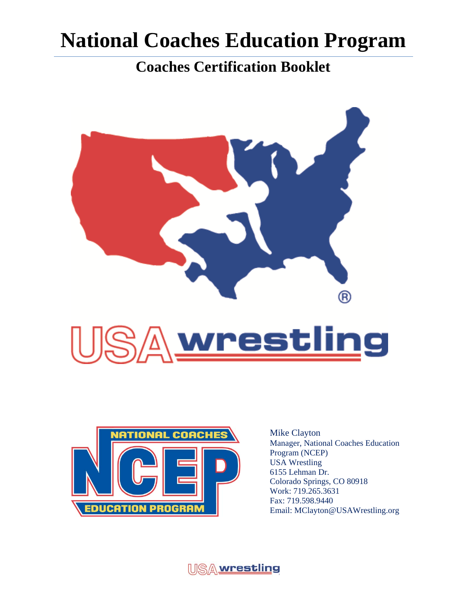**Coaches Certification Booklet** 





Mike Clayton Manager, National Coaches Education Program (NCEP) USA Wrestling 6155 Lehman Dr. Colorado Springs, CO 80918 Work: 719.265.3631 Fax: 719.598.9440 Email: MClayton@USAWrestling.org

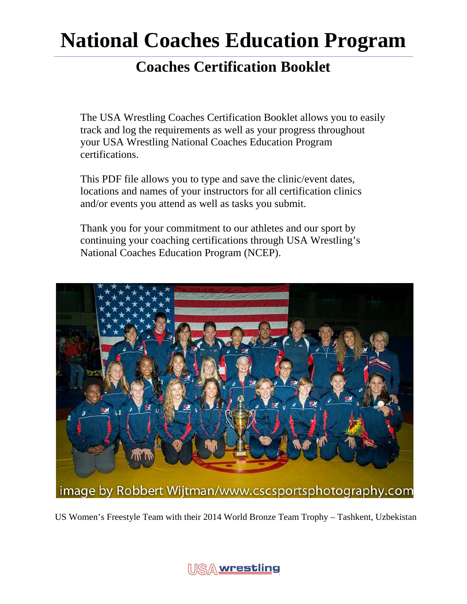### **Coaches Certification Booklet**

The USA Wrestling Coaches Certification Booklet allows you to easily track and log the requirements as well as your progress throughout your USA Wrestling National Coaches Education Program certifications.

This PDF file allows you to type and save the clinic/event dates, locations and names of your instructors for all certification clinics and/or events you attend as well as tasks you submit.

Thank you for your commitment to our athletes and our sport by continuing your coaching certifications through USA Wrestling's National Coaches Education Program (NCEP).



US Women's Freestyle Team with their 2014 World Bronze Team Trophy – Tashkent, Uzbekistan

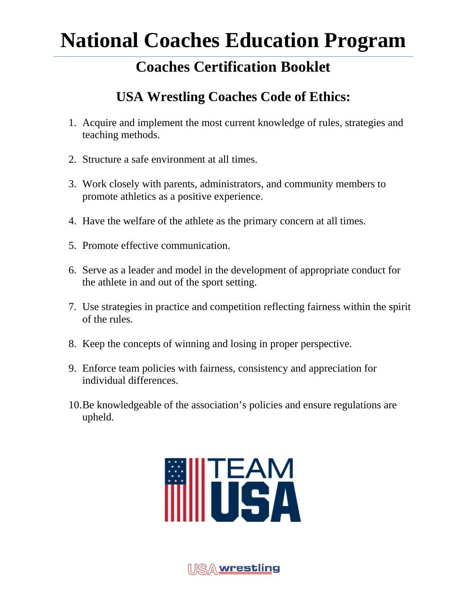### **Coaches Certification Booklet**

### **USA Wrestling Coaches Code of Ethics:**

- 1. Acquire and implement the most current knowledge of rules, strategies and teaching methods.
- 2. Structure a safe environment at all times.
- 3. Work closely with parents, administrators, and community members to promote athletics as a positive experience.
- 4. Have the welfare of the athlete as the primary concern at all times.
- 5. Promote effective communication.
- 6. Serve as a leader and model in the development of appropriate conduct for the athlete in and out of the sport setting.
- 7. Use strategies in practice and competition reflecting fairness within the spirit of the rules.
- 8. Keep the concepts of winning and losing in proper perspective.
- 9. Enforce team policies with fairness, consistency and appreciation for individual differences.
- 10.Be knowledgeable of the association's policies and ensure regulations are upheld.



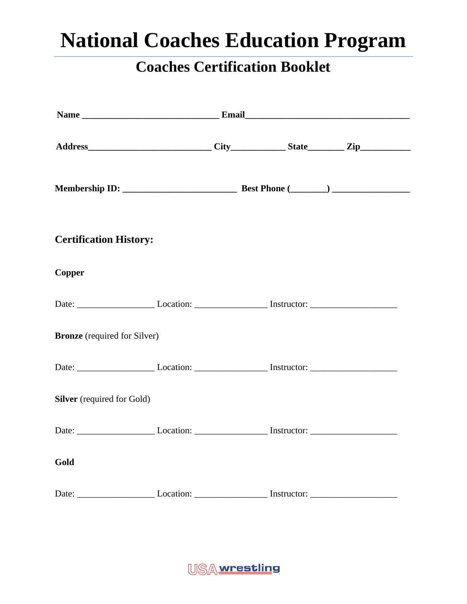| <b>Certification History:</b>       |  |  |
|-------------------------------------|--|--|
| <b>Copper</b>                       |  |  |
|                                     |  |  |
| <b>Bronze</b> (required for Silver) |  |  |
|                                     |  |  |
| <b>Silver</b> (required for Gold)   |  |  |
|                                     |  |  |
| Gold                                |  |  |
|                                     |  |  |

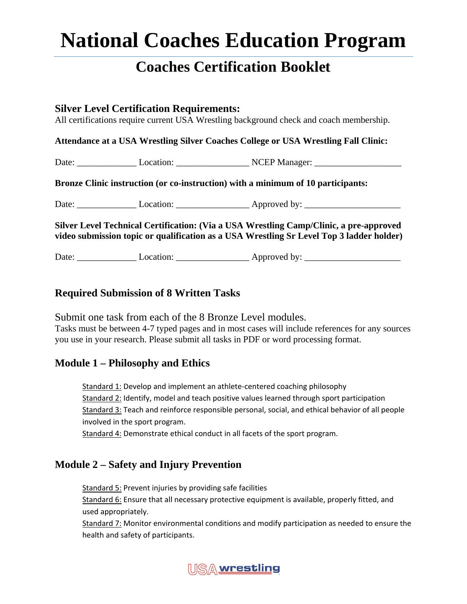### **Coaches Certification Booklet**

#### **Silver Level Certification Requirements:**

All certifications require current USA Wrestling background check and coach membership.

#### **Attendance at a USA Wrestling Silver Coaches College or USA Wrestling Fall Clinic:**

Date: \_\_\_\_\_\_\_\_\_\_\_\_\_ Location: \_\_\_\_\_\_\_\_\_\_\_\_\_\_\_\_ NCEP Manager: \_\_\_\_\_\_\_\_\_\_\_\_\_\_\_\_\_\_\_

#### **Bronze Clinic instruction (or co-instruction) with a minimum of 10 participants:**

Date: \_\_\_\_\_\_\_\_\_\_\_\_\_ Location: \_\_\_\_\_\_\_\_\_\_\_\_\_\_\_\_ Approved by: \_\_\_\_\_\_\_\_\_\_\_\_\_\_\_\_\_\_\_\_\_

**Silver Level Technical Certification: (Via a USA Wrestling Camp/Clinic, a pre-approved video submission topic or qualification as a USA Wrestling Sr Level Top 3 ladder holder)** 

Date: Location: Approved by:

#### **Required Submission of 8 Written Tasks**

Submit one task from each of the 8 Bronze Level modules. Tasks must be between 4-7 typed pages and in most cases will include references for any sources you use in your research. Please submit all tasks in PDF or word processing format.

#### **Module 1 – Philosophy and Ethics**

Standard 1: Develop and implement an athlete‐centered coaching philosophy Standard 2: Identify, model and teach positive values learned through sport participation Standard 3: Teach and reinforce responsible personal, social, and ethical behavior of all people involved in the sport program.

Standard 4: Demonstrate ethical conduct in all facets of the sport program.

#### **Module 2 – Safety and Injury Prevention**

Standard 5: Prevent injuries by providing safe facilities

Standard 6: Ensure that all necessary protective equipment is available, properly fitted, and used appropriately.

Standard 7: Monitor environmental conditions and modify participation as needed to ensure the health and safety of participants.

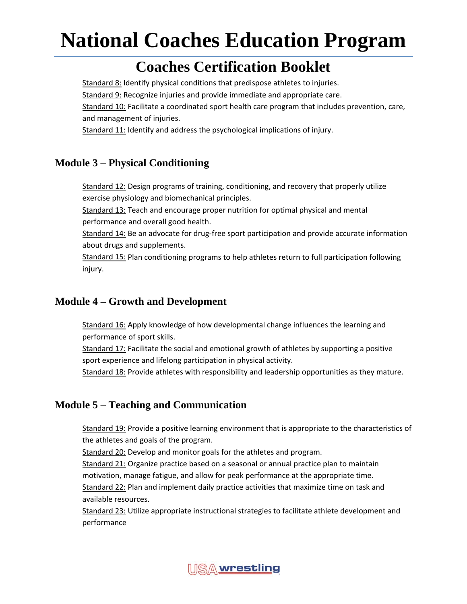### **Coaches Certification Booklet**

Standard 8: Identify physical conditions that predispose athletes to injuries. Standard 9: Recognize injuries and provide immediate and appropriate care. Standard 10: Facilitate a coordinated sport health care program that includes prevention, care, and management of injuries.

Standard 11: Identify and address the psychological implications of injury.

#### **Module 3 – Physical Conditioning**

Standard 12: Design programs of training, conditioning, and recovery that properly utilize exercise physiology and biomechanical principles.

Standard 13: Teach and encourage proper nutrition for optimal physical and mental performance and overall good health.

Standard 14: Be an advocate for drug-free sport participation and provide accurate information about drugs and supplements.

Standard 15: Plan conditioning programs to help athletes return to full participation following injury.

#### **Module 4 – Growth and Development**

Standard 16: Apply knowledge of how developmental change influences the learning and performance of sport skills.

Standard 17: Facilitate the social and emotional growth of athletes by supporting a positive sport experience and lifelong participation in physical activity.

Standard 18: Provide athletes with responsibility and leadership opportunities as they mature.

#### **Module 5 – Teaching and Communication**

Standard 19: Provide a positive learning environment that is appropriate to the characteristics of the athletes and goals of the program.

Standard 20: Develop and monitor goals for the athletes and program.

Standard 21: Organize practice based on a seasonal or annual practice plan to maintain

motivation, manage fatigue, and allow for peak performance at the appropriate time.

Standard 22: Plan and implement daily practice activities that maximize time on task and available resources.

Standard 23: Utilize appropriate instructional strategies to facilitate athlete development and performance

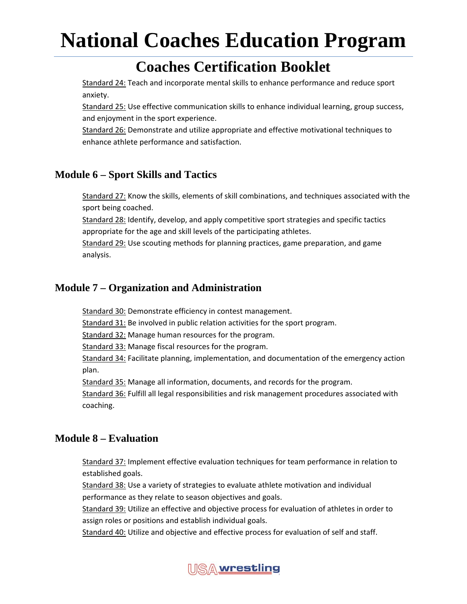### **Coaches Certification Booklet**

Standard 24: Teach and incorporate mental skills to enhance performance and reduce sport anxiety.

Standard 25: Use effective communication skills to enhance individual learning, group success, and enjoyment in the sport experience.

Standard 26: Demonstrate and utilize appropriate and effective motivational techniques to enhance athlete performance and satisfaction.

#### **Module 6 – Sport Skills and Tactics**

Standard 27: Know the skills, elements of skill combinations, and techniques associated with the sport being coached.

Standard 28: Identify, develop, and apply competitive sport strategies and specific tactics appropriate for the age and skill levels of the participating athletes.

Standard 29: Use scouting methods for planning practices, game preparation, and game analysis.

#### **Module 7 – Organization and Administration**

Standard 30: Demonstrate efficiency in contest management.

Standard 31: Be involved in public relation activities for the sport program.

Standard 32: Manage human resources for the program.

Standard 33: Manage fiscal resources for the program.

Standard 34: Facilitate planning, implementation, and documentation of the emergency action plan.

Standard 35: Manage all information, documents, and records for the program.

Standard 36: Fulfill all legal responsibilities and risk management procedures associated with coaching.

#### **Module 8 – Evaluation**

Standard 37: Implement effective evaluation techniques for team performance in relation to established goals.

Standard 38: Use a variety of strategies to evaluate athlete motivation and individual performance as they relate to season objectives and goals.

Standard 39: Utilize an effective and objective process for evaluation of athletes in order to assign roles or positions and establish individual goals.

Standard 40: Utilize and objective and effective process for evaluation of self and staff.

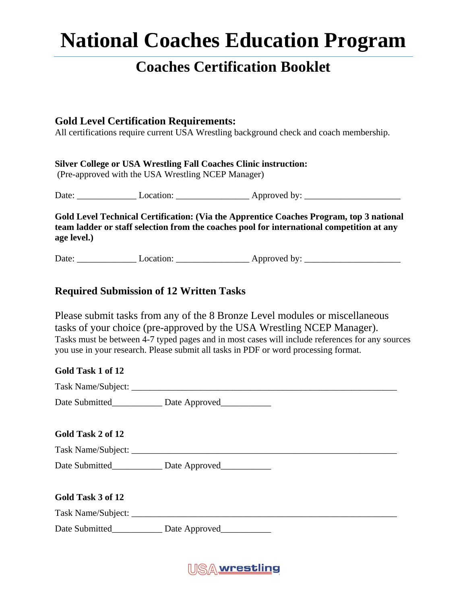### **Coaches Certification Booklet**

#### **Gold Level Certification Requirements:**

All certifications require current USA Wrestling background check and coach membership.

#### **Silver College or USA Wrestling Fall Coaches Clinic instruction:**

(Pre-approved with the USA Wrestling NCEP Manager)

Date: \_\_\_\_\_\_\_\_\_\_\_\_\_ Location: \_\_\_\_\_\_\_\_\_\_\_\_\_\_\_\_ Approved by: \_\_\_\_\_\_\_\_\_\_\_\_\_\_\_\_\_\_\_\_\_

**Gold Level Technical Certification: (Via the Apprentice Coaches Program, top 3 national team ladder or staff selection from the coaches pool for international competition at any age level.)** 

Date: \_\_\_\_\_\_\_\_\_\_\_\_\_ Location: \_\_\_\_\_\_\_\_\_\_\_\_\_\_\_\_ Approved by: \_\_\_\_\_\_\_\_\_\_\_\_\_\_\_\_\_\_\_\_\_

#### **Required Submission of 12 Written Tasks**

Please submit tasks from any of the 8 Bronze Level modules or miscellaneous tasks of your choice (pre-approved by the USA Wrestling NCEP Manager). Tasks must be between 4-7 typed pages and in most cases will include references for any sources you use in your research. Please submit all tasks in PDF or word processing format.

#### **Gold Task 1 of 12**

| Task Name/Subject: |  |
|--------------------|--|
|                    |  |

| Date Submitted | Date Approved |
|----------------|---------------|
|----------------|---------------|

#### **Gold Task 2 of 12**

| Task Name/Subject: |  |
|--------------------|--|
|                    |  |

Date Submitted\_\_\_\_\_\_\_\_\_\_\_ Date Approved\_\_\_\_\_\_\_\_\_\_\_

| Gold Task 3 of 12  |               |  |  |
|--------------------|---------------|--|--|
| Task Name/Subject: |               |  |  |
| Date Submitted     | Date Approved |  |  |

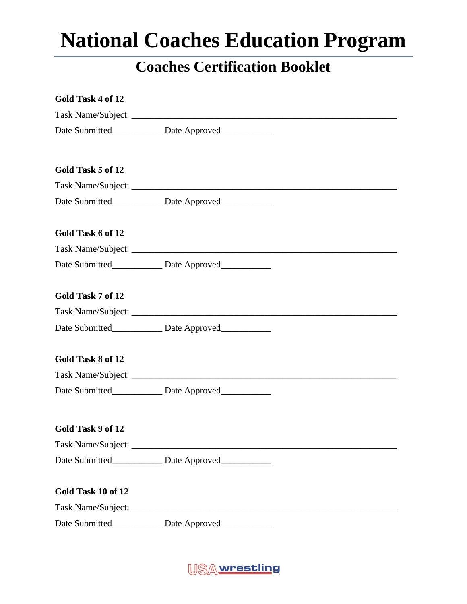| Gold Task 4 of 12  |                                                         |  |
|--------------------|---------------------------------------------------------|--|
|                    |                                                         |  |
|                    | Date Submitted______________ Date Approved____________  |  |
| Gold Task 5 of 12  |                                                         |  |
|                    |                                                         |  |
|                    | Date Submitted League Date Approved League              |  |
| Gold Task 6 of 12  |                                                         |  |
|                    |                                                         |  |
|                    | Date Submitted______________ Date Approved____________  |  |
| Gold Task 7 of 12  |                                                         |  |
|                    |                                                         |  |
|                    | Date Submitted_____________ Date Approved___________    |  |
| Gold Task 8 of 12  |                                                         |  |
|                    |                                                         |  |
|                    | Date Submitted______________ Date Approved_____________ |  |
| Gold Task 9 of 12  |                                                         |  |
|                    |                                                         |  |
|                    | Date Submitted______________ Date Approved____________  |  |
| Gold Task 10 of 12 |                                                         |  |
|                    |                                                         |  |
|                    | Date Submitted_______________ Date Approved____________ |  |

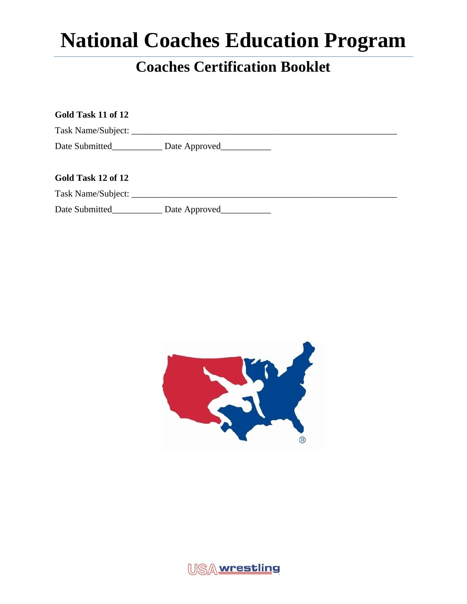| Gold Task 11 of 12 |                                                          |  |
|--------------------|----------------------------------------------------------|--|
|                    |                                                          |  |
|                    |                                                          |  |
| Gold Task 12 of 12 |                                                          |  |
|                    |                                                          |  |
|                    | Date Submitted_______________ Date Approved_____________ |  |



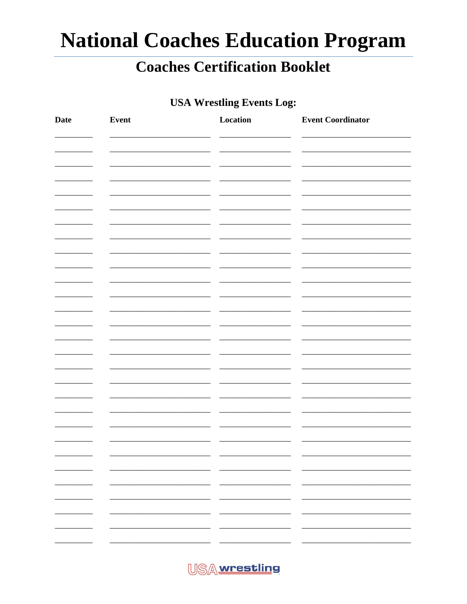### **Coaches Certification Booklet**

### **USA Wrestling Events Log:**

| Date                     | Event | Location                        | <b>Event Coordinator</b>       |
|--------------------------|-------|---------------------------------|--------------------------------|
|                          |       |                                 |                                |
|                          |       |                                 |                                |
|                          |       |                                 |                                |
|                          |       |                                 |                                |
|                          |       |                                 |                                |
|                          |       |                                 |                                |
|                          |       |                                 |                                |
|                          |       |                                 |                                |
|                          |       |                                 |                                |
|                          |       |                                 |                                |
|                          |       |                                 |                                |
|                          |       |                                 |                                |
|                          |       |                                 |                                |
|                          |       |                                 |                                |
|                          |       |                                 |                                |
|                          |       |                                 |                                |
|                          |       |                                 |                                |
|                          |       |                                 |                                |
|                          |       |                                 | Ξ.                             |
| $\overline{\phantom{0}}$ |       | $\overline{\phantom{0}}$<br>- - |                                |
| н.                       |       | $\overline{\phantom{a}}$        | -                              |
| н.                       | ٠.    | $ -$                            | Ξ.<br>$\overline{\phantom{a}}$ |
|                          |       | $\overline{\phantom{0}}$        | -                              |

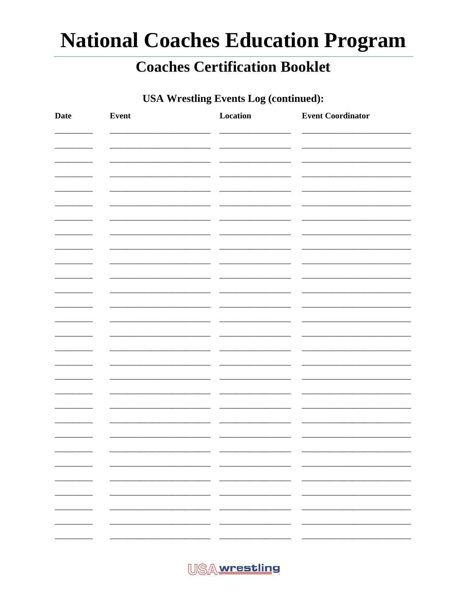### **Coaches Certification Booklet**

### **USA Wrestling Events Log (continued):**

| <b>Date</b>              | Event | Location                       | <b>Event Coordinator</b> |
|--------------------------|-------|--------------------------------|--------------------------|
|                          |       |                                |                          |
|                          |       |                                |                          |
|                          |       |                                |                          |
|                          |       |                                |                          |
|                          |       |                                |                          |
|                          |       |                                |                          |
|                          |       |                                |                          |
|                          |       |                                |                          |
|                          |       |                                |                          |
|                          |       |                                |                          |
|                          |       |                                |                          |
|                          |       |                                |                          |
|                          |       |                                |                          |
|                          |       |                                |                          |
|                          |       |                                |                          |
|                          |       |                                |                          |
|                          |       |                                |                          |
|                          |       |                                |                          |
|                          |       |                                |                          |
|                          |       |                                |                          |
|                          |       |                                | Ξ.                       |
| $\overline{\phantom{a}}$ |       | _____<br>— —                   | —                        |
| $\overline{\phantom{a}}$ |       | Ξ.<br>$\overline{\phantom{0}}$ |                          |
|                          |       |                                | -                        |
|                          |       |                                |                          |